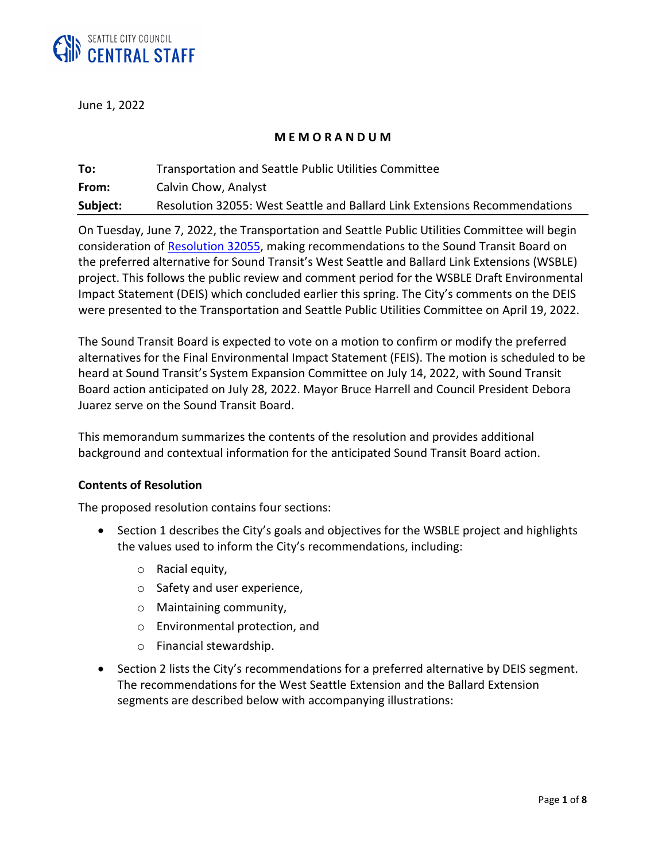

June 1, 2022

## **M E M O R A N D U M**

| To:      | <b>Transportation and Seattle Public Utilities Committee</b>               |
|----------|----------------------------------------------------------------------------|
| From:    | Calvin Chow, Analyst                                                       |
| Subject: | Resolution 32055: West Seattle and Ballard Link Extensions Recommendations |

On Tuesday, June 7, 2022, the Transportation and Seattle Public Utilities Committee will begin consideration of [Resolution 32055,](https://seattle.legistar.com/LegislationDetail.aspx?ID=5665045&GUID=EAD7D409-C3BF-4512-A313-E95D3270E52C) making recommendations to the Sound Transit Board on the preferred alternative for Sound Transit's West Seattle and Ballard Link Extensions (WSBLE) project. This follows the public review and comment period for the WSBLE Draft Environmental Impact Statement (DEIS) which concluded earlier this spring. The City's comments on the DEIS were presented to the Transportation and Seattle Public Utilities Committee on April 19, 2022.

The Sound Transit Board is expected to vote on a motion to confirm or modify the preferred alternatives for the Final Environmental Impact Statement (FEIS). The motion is scheduled to be heard at Sound Transit's System Expansion Committee on July 14, 2022, with Sound Transit Board action anticipated on July 28, 2022. Mayor Bruce Harrell and Council President Debora Juarez serve on the Sound Transit Board.

This memorandum summarizes the contents of the resolution and provides additional background and contextual information for the anticipated Sound Transit Board action.

## **Contents of Resolution**

The proposed resolution contains four sections:

- Section 1 describes the City's goals and objectives for the WSBLE project and highlights the values used to inform the City's recommendations, including:
	- o Racial equity,
	- o Safety and user experience,
	- o Maintaining community,
	- o Environmental protection, and
	- o Financial stewardship.
- Section 2 lists the City's recommendations for a preferred alternative by DEIS segment. The recommendations for the West Seattle Extension and the Ballard Extension segments are described below with accompanying illustrations: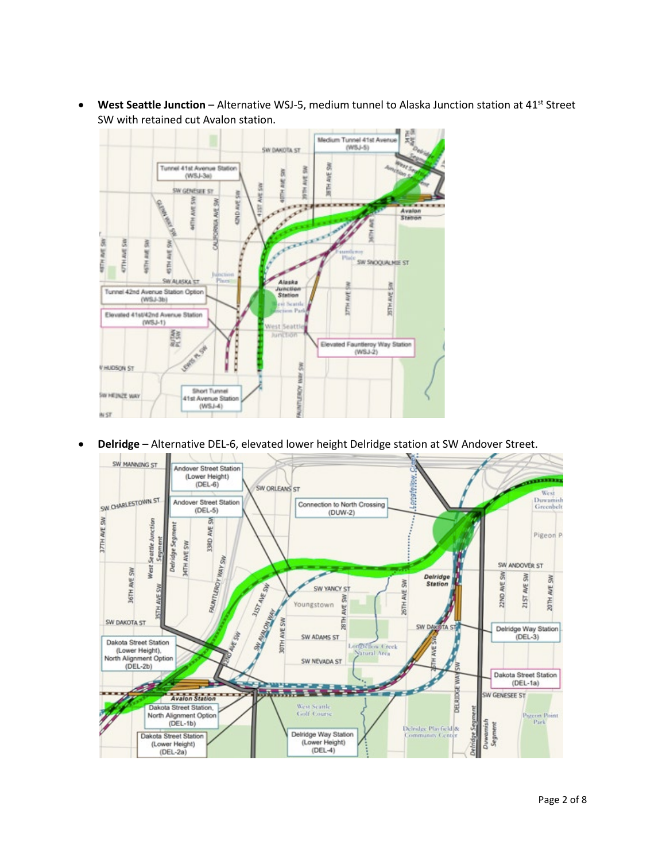

• **West Seattle Junction** – Alternative WSJ-5, medium tunnel to Alaska Junction station at 41st Street SW with retained cut Avalon station.

• **Delridge** – Alternative DEL-6, elevated lower height Delridge station at SW Andover Street.

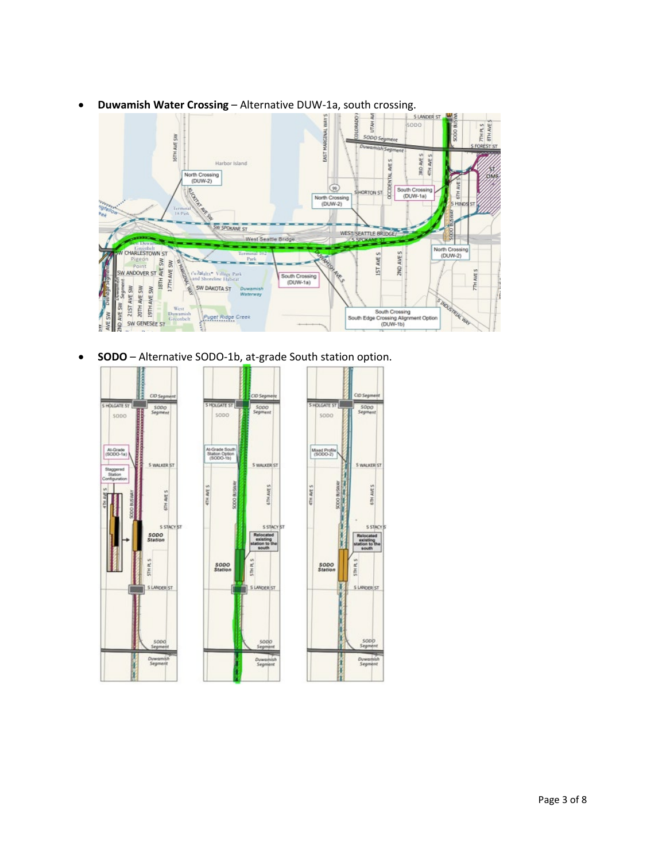

• **Duwamish Water Crossing** – Alternative DUW-1a, south crossing.

• **SODO** – Alternative SODO-1b, at-grade South station option.

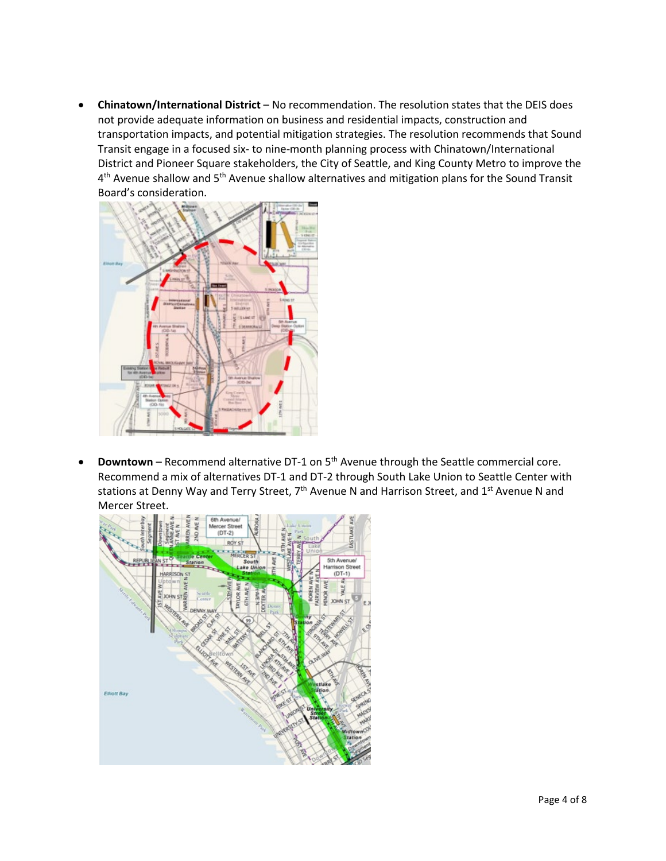• **Chinatown/International District** – No recommendation. The resolution states that the DEIS does not provide adequate information on business and residential impacts, construction and transportation impacts, and potential mitigation strategies. The resolution recommends that Sound Transit engage in a focused six- to nine-month planning process with Chinatown/International District and Pioneer Square stakeholders, the City of Seattle, and King County Metro to improve the  $4<sup>th</sup>$  Avenue shallow and  $5<sup>th</sup>$  Avenue shallow alternatives and mitigation plans for the Sound Transit Board's consideration.



**Downtown** – Recommend alternative DT-1 on 5<sup>th</sup> Avenue through the Seattle commercial core. Recommend a mix of alternatives DT-1 and DT-2 through South Lake Union to Seattle Center with stations at Denny Way and Terry Street, 7<sup>th</sup> Avenue N and Harrison Street, and 1<sup>st</sup> Avenue N and Mercer Street.

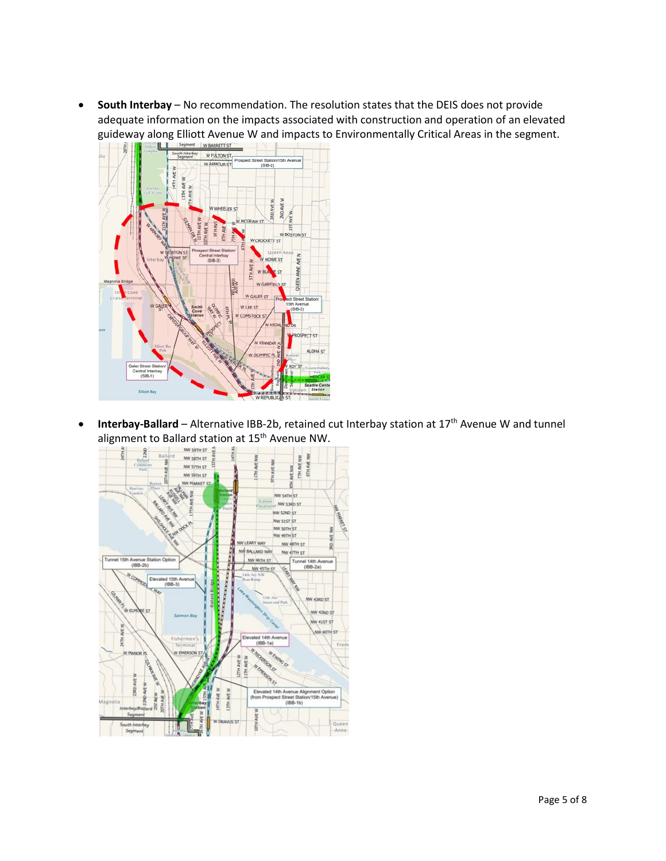• **South Interbay** – No recommendation. The resolution states that the DEIS does not provide adequate information on the impacts associated with construction and operation of an elevated guideway along Elliott Avenue W and impacts to Environmentally Critical Areas in the segment.



• **Interbay-Ballard** – Alternative IBB-2b, retained cut Interbay station at 17th Avenue W and tunnel alignment to Ballard station at 15<sup>th</sup> Avenue NW.

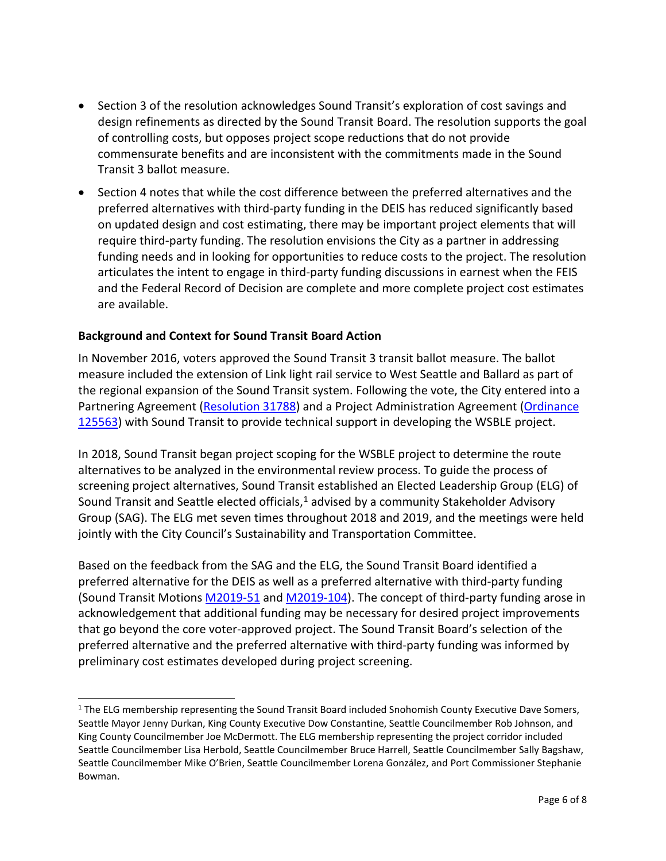- Section 3 of the resolution acknowledges Sound Transit's exploration of cost savings and design refinements as directed by the Sound Transit Board. The resolution supports the goal of controlling costs, but opposes project scope reductions that do not provide commensurate benefits and are inconsistent with the commitments made in the Sound Transit 3 ballot measure.
- Section 4 notes that while the cost difference between the preferred alternatives and the preferred alternatives with third-party funding in the DEIS has reduced significantly based on updated design and cost estimating, there may be important project elements that will require third-party funding. The resolution envisions the City as a partner in addressing funding needs and in looking for opportunities to reduce costs to the project. The resolution articulates the intent to engage in third-party funding discussions in earnest when the FEIS and the Federal Record of Decision are complete and more complete project cost estimates are available.

## **Background and Context for Sound Transit Board Action**

In November 2016, voters approved the Sound Transit 3 transit ballot measure. The ballot measure included the extension of Link light rail service to West Seattle and Ballard as part of the regional expansion of the Sound Transit system. Following the vote, the City entered into a Partnering Agreement [\(Resolution 31788\)](https://seattle.legistar.com/LegislationDetail.aspx?ID=3283985&GUID=57A75C15-DCF8-43E6-98CC-E0DD039E8F10) and a Project Administration Agreement (Ordinance [125563\)](https://seattle.legistar.com/LegislationDetail.aspx?ID=3466701&GUID=A3620B76-23B7-4EAD-A416-0805EAF3C05C) with Sound Transit to provide technical support in developing the WSBLE project.

In 2018, Sound Transit began project scoping for the WSBLE project to determine the route alternatives to be analyzed in the environmental review process. To guide the process of screening project alternatives, Sound Transit established an Elected Leadership Group (ELG) of Sound Transit and Seattle elected officials, $1$  advised by a community Stakeholder Advisory Group (SAG). The ELG met seven times throughout 2018 and 2019, and the meetings were held jointly with the City Council's Sustainability and Transportation Committee.

Based on the feedback from the SAG and the ELG, the Sound Transit Board identified a preferred alternative for the DEIS as well as a preferred alternative with third-party funding (Sound Transit Motions [M2019-51](https://www.soundtransit.org/st_sharepoint/download/sites/PRDA/FinalRecords/2019/Motion%20M2019-51.pdf) and [M2019-104\)](https://www.soundtransit.org/st_sharepoint/download/sites/PRDA/FinalRecords/2019/Motion%20M2019-104.pdf). The concept of third-party funding arose in acknowledgement that additional funding may be necessary for desired project improvements that go beyond the core voter-approved project. The Sound Transit Board's selection of the preferred alternative and the preferred alternative with third-party funding was informed by preliminary cost estimates developed during project screening.

<span id="page-5-0"></span><sup>&</sup>lt;sup>1</sup> The ELG membership representing the Sound Transit Board included Snohomish County Executive Dave Somers, Seattle Mayor Jenny Durkan, King County Executive Dow Constantine, Seattle Councilmember Rob Johnson, and King County Councilmember Joe McDermott. The ELG membership representing the project corridor included Seattle Councilmember Lisa Herbold, Seattle Councilmember Bruce Harrell, Seattle Councilmember Sally Bagshaw, Seattle Councilmember Mike O'Brien, Seattle Councilmember Lorena González, and Port Commissioner Stephanie Bowman.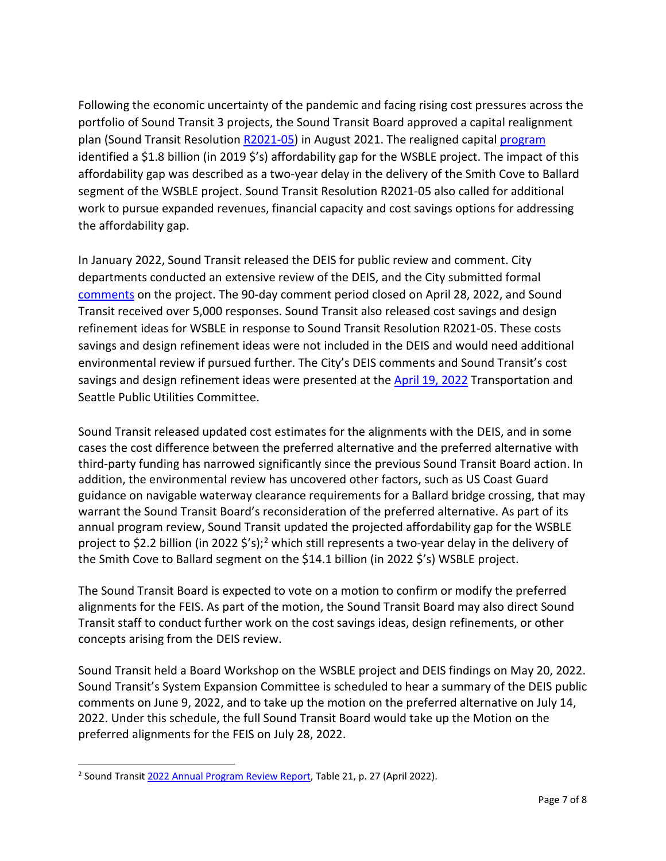Following the economic uncertainty of the pandemic and facing rising cost pressures across the portfolio of Sound Transit 3 projects, the Sound Transit Board approved a capital realignment plan (Sound Transit Resolution [R2021-05\)](https://www.soundtransit.org/st_sharepoint/download/sites/PRDA/ActiveDocuments/Resolution%20R2021-05-As%20Adopted%208-5-21.pdf) in August 2021. The realigned capita[l program](https://www.soundtransit.org/sites/default/files/documents/realigned-st-capital-program.pdf) identified a \$1.8 billion (in 2019 \$'s) affordability gap for the WSBLE project. The impact of this affordability gap was described as a two-year delay in the delivery of the Smith Cove to Ballard segment of the WSBLE project. Sound Transit Resolution R2021-05 also called for additional work to pursue expanded revenues, financial capacity and cost savings options for addressing the affordability gap.

In January 2022, Sound Transit released the DEIS for public review and comment. City departments conducted an extensive review of the DEIS, and the City submitted formal [comments](https://www.seattle.gov/opcd/ongoing-initiatives/lightrail-expansion-in-seattle/wsble#docs) on the project. The 90-day comment period closed on April 28, 2022, and Sound Transit received over 5,000 responses. Sound Transit also released cost savings and design refinement ideas for WSBLE in response to Sound Transit Resolution R2021-05. These costs savings and design refinement ideas were not included in the DEIS and would need additional environmental review if pursued further. The City's DEIS comments and Sound Transit's cost savings and design refinement ideas were presented at the [April 19, 2022](https://seattle.legistar.com/View.ashx?M=A&ID=956164&GUID=D93E44DF-97B6-4044-BBE9-2736C3CC38FA) Transportation and Seattle Public Utilities Committee.

Sound Transit released updated cost estimates for the alignments with the DEIS, and in some cases the cost difference between the preferred alternative and the preferred alternative with third-party funding has narrowed significantly since the previous Sound Transit Board action. In addition, the environmental review has uncovered other factors, such as US Coast Guard guidance on navigable waterway clearance requirements for a Ballard bridge crossing, that may warrant the Sound Transit Board's reconsideration of the preferred alternative. As part of its annual program review, Sound Transit updated the projected affordability gap for the WSBLE project to \$[2](#page-6-0).2 billion (in 2022 \$'s);<sup>2</sup> which still represents a two-year delay in the delivery of the Smith Cove to Ballard segment on the \$14.1 billion (in 2022 \$'s) WSBLE project.

The Sound Transit Board is expected to vote on a motion to confirm or modify the preferred alignments for the FEIS. As part of the motion, the Sound Transit Board may also direct Sound Transit staff to conduct further work on the cost savings ideas, design refinements, or other concepts arising from the DEIS review.

Sound Transit held a Board Workshop on the WSBLE project and DEIS findings on May 20, 2022. Sound Transit's System Expansion Committee is scheduled to hear a summary of the DEIS public comments on June 9, 2022, and to take up the motion on the preferred alternative on July 14, 2022. Under this schedule, the full Sound Transit Board would take up the Motion on the preferred alignments for the FEIS on July 28, 2022.

<span id="page-6-0"></span><sup>2</sup> Sound Transi[t 2022 Annual Program Review Report,](https://www.soundtransit.org/st_sharepoint/download/sites/PRDA/ActiveDocuments/Report%20-%20Annual%20Program%20Review%20-%20April%202022.pdf) Table 21, p. 27 (April 2022).